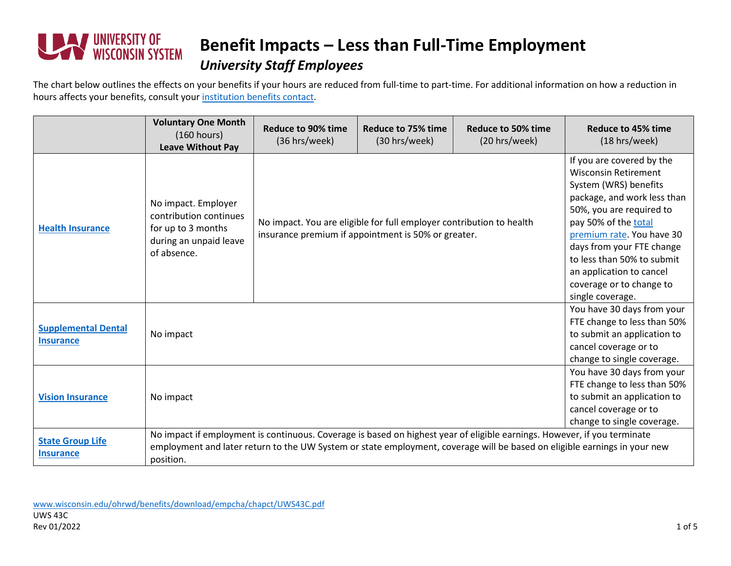

### **Benefit Impacts – Less than Full-Time Employment** *University Staff Employees*

The chart below outlines the effects on your benefits if your hours are reduced from full-time to part-time. For additional information on how a reduction in hours affects your benefits, consult your [institution benefits contact.](https://www.wisconsin.edu/ohrwd/benefits/contact/)

|                                                | <b>Voluntary One Month</b><br>(160 hours)<br><b>Leave Without Pay</b>                                                                                                                                                                                              | <b>Reduce to 90% time</b><br>(36 hrs/week)                                                                                  | Reduce to 75% time<br>(30 hrs/week)                                                                                                                                                                                                                                                                                                      | <b>Reduce to 50% time</b><br>(20 hrs/week) | Reduce to 45% time<br>(18 hrs/week)                                                                                                             |
|------------------------------------------------|--------------------------------------------------------------------------------------------------------------------------------------------------------------------------------------------------------------------------------------------------------------------|-----------------------------------------------------------------------------------------------------------------------------|------------------------------------------------------------------------------------------------------------------------------------------------------------------------------------------------------------------------------------------------------------------------------------------------------------------------------------------|--------------------------------------------|-------------------------------------------------------------------------------------------------------------------------------------------------|
| <b>Health Insurance</b>                        | No impact. Employer<br>contribution continues<br>for up to 3 months<br>during an unpaid leave<br>of absence.                                                                                                                                                       | No impact. You are eligible for full employer contribution to health<br>insurance premium if appointment is 50% or greater. | If you are covered by the<br><b>Wisconsin Retirement</b><br>System (WRS) benefits<br>package, and work less than<br>50%, you are required to<br>pay 50% of the total<br>premium rate. You have 30<br>days from your FTE change<br>to less than 50% to submit<br>an application to cancel<br>coverage or to change to<br>single coverage. |                                            |                                                                                                                                                 |
| <b>Supplemental Dental</b><br><b>Insurance</b> | No impact                                                                                                                                                                                                                                                          |                                                                                                                             |                                                                                                                                                                                                                                                                                                                                          |                                            | You have 30 days from your<br>FTE change to less than 50%<br>to submit an application to<br>cancel coverage or to<br>change to single coverage. |
| <b>Vision Insurance</b>                        | No impact                                                                                                                                                                                                                                                          |                                                                                                                             |                                                                                                                                                                                                                                                                                                                                          |                                            | You have 30 days from your<br>FTE change to less than 50%<br>to submit an application to<br>cancel coverage or to<br>change to single coverage. |
| <b>State Group Life</b><br><b>Insurance</b>    | No impact if employment is continuous. Coverage is based on highest year of eligible earnings. However, if you terminate<br>employment and later return to the UW System or state employment, coverage will be based on eligible earnings in your new<br>position. |                                                                                                                             |                                                                                                                                                                                                                                                                                                                                          |                                            |                                                                                                                                                 |

[www.wisconsin.edu/ohrwd/benefits/download/empcha/chapct/UWS43C.pdf](http://www.wisconsin.edu/ohrwd/benefits/download/empcha/chapct/UWS43C.pdf) UWS 43C Rev 01/2022  $\sim$  1 of 5  $\,$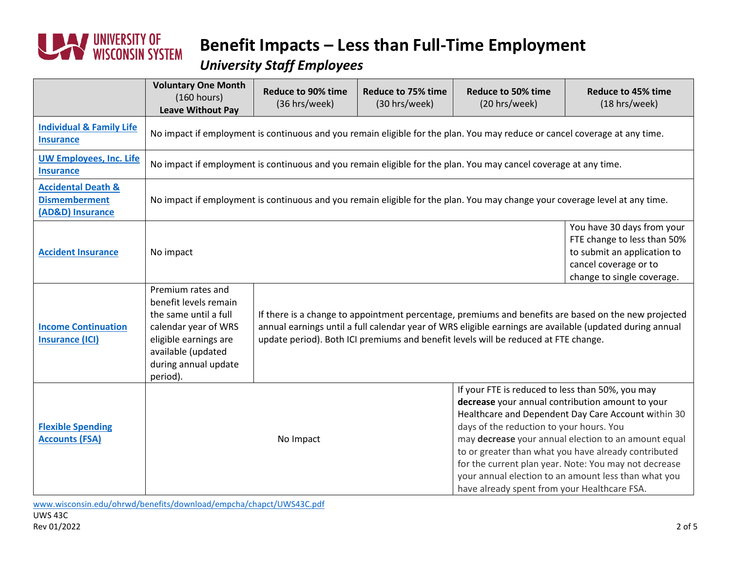

#### *University Staff Employees*

|                                                                           | <b>Voluntary One Month</b><br>(160 hours)<br><b>Leave Without Pay</b>                                                                                                          | <b>Reduce to 90% time</b><br>(36 hrs/week)                                                                                                                                                                                                                                                              | <b>Reduce to 75% time</b><br>(30 hrs/week) | <b>Reduce to 50% time</b><br>(20 hrs/week)                                                                                                                                                                                                                                                                                               | Reduce to 45% time<br>(18 hrs/week)                                                                                                             |  |
|---------------------------------------------------------------------------|--------------------------------------------------------------------------------------------------------------------------------------------------------------------------------|---------------------------------------------------------------------------------------------------------------------------------------------------------------------------------------------------------------------------------------------------------------------------------------------------------|--------------------------------------------|------------------------------------------------------------------------------------------------------------------------------------------------------------------------------------------------------------------------------------------------------------------------------------------------------------------------------------------|-------------------------------------------------------------------------------------------------------------------------------------------------|--|
| <b>Individual &amp; Family Life</b><br><b>Insurance</b>                   | No impact if employment is continuous and you remain eligible for the plan. You may reduce or cancel coverage at any time.                                                     |                                                                                                                                                                                                                                                                                                         |                                            |                                                                                                                                                                                                                                                                                                                                          |                                                                                                                                                 |  |
| <b>UW Employees, Inc. Life</b><br><b>Insurance</b>                        | No impact if employment is continuous and you remain eligible for the plan. You may cancel coverage at any time.                                                               |                                                                                                                                                                                                                                                                                                         |                                            |                                                                                                                                                                                                                                                                                                                                          |                                                                                                                                                 |  |
| <b>Accidental Death &amp;</b><br><b>Dismemberment</b><br>(AD&D) Insurance | No impact if employment is continuous and you remain eligible for the plan. You may change your coverage level at any time.                                                    |                                                                                                                                                                                                                                                                                                         |                                            |                                                                                                                                                                                                                                                                                                                                          |                                                                                                                                                 |  |
| <b>Accident Insurance</b>                                                 | No impact                                                                                                                                                                      |                                                                                                                                                                                                                                                                                                         |                                            |                                                                                                                                                                                                                                                                                                                                          | You have 30 days from your<br>FTE change to less than 50%<br>to submit an application to<br>cancel coverage or to<br>change to single coverage. |  |
| <b>Income Continuation</b><br><b>Insurance (ICI)</b>                      | Premium rates and<br>benefit levels remain<br>the same until a full<br>calendar year of WRS<br>eligible earnings are<br>available (updated<br>during annual update<br>period). | If there is a change to appointment percentage, premiums and benefits are based on the new projected<br>annual earnings until a full calendar year of WRS eligible earnings are available (updated during annual<br>update period). Both ICI premiums and benefit levels will be reduced at FTE change. |                                            |                                                                                                                                                                                                                                                                                                                                          |                                                                                                                                                 |  |
| <b>Flexible Spending</b><br><b>Accounts (FSA)</b>                         | If your FTE is reduced to less than 50%, you may<br>days of the reduction to your hours. You<br>No Impact<br>have already spent from your Healthcare FSA.                      |                                                                                                                                                                                                                                                                                                         |                                            | decrease your annual contribution amount to your<br>Healthcare and Dependent Day Care Account within 30<br>may decrease your annual election to an amount equal<br>to or greater than what you have already contributed<br>for the current plan year. Note: You may not decrease<br>your annual election to an amount less than what you |                                                                                                                                                 |  |

[www.wisconsin.edu/ohrwd/benefits/download/empcha/chapct/UWS43C.pdf](http://www.wisconsin.edu/ohrwd/benefits/download/empcha/chapct/UWS43C.pdf)

UWS 43C<br>Rev 01/2022 Rev 01/2022 22 of 5 2 of 5 2 of 5 2 of 5 2 of 5 2 of 5 2 of 5 2 of 5 2 of 5 2 of 5 2 of 5 2 of 5 2 of 5 2 of 5 2 of 5 2 of 5 2 of 5 2 of 5 2 of 5 2 of 5 2 of 5 2 of 5 2 of 5 2 of 5 2 of 5 2 of 5 2 of 5 2 of 5 2 of 5 2 of 5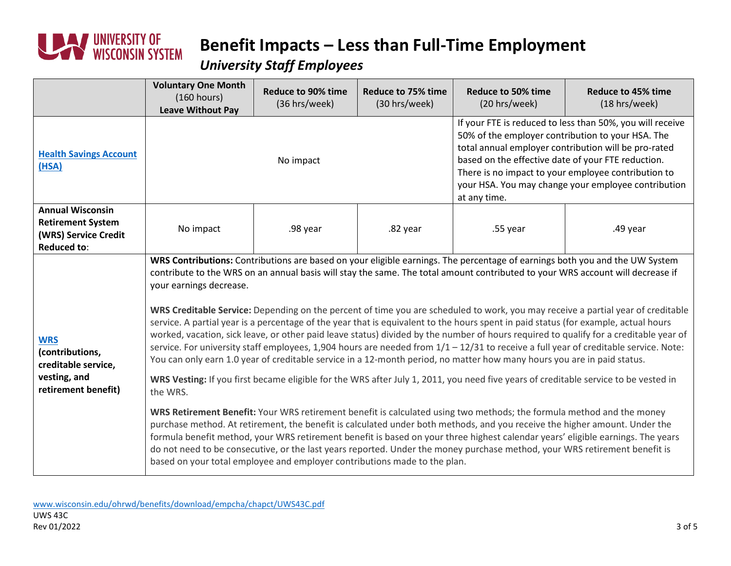

#### *University Staff Employees*

|                                                                                                   | <b>Voluntary One Month</b><br>(160 hours)<br><b>Leave Without Pay</b>                                                                                                                                                                                                                                                                                                                                                                                                                                                                                                                                                                                                                                                                                                                                                                                                                                                                                                                                                                                                                                                                                                                                                                                                                                                                                                                                                                                                                                                                                                                                                                                                                                                                     | <b>Reduce to 90% time</b><br>(36 hrs/week) | <b>Reduce to 75% time</b><br>(30 hrs/week) | <b>Reduce to 50% time</b><br>(20 hrs/week)                                                                                                                                                                                                                                                                                                                 | <b>Reduce to 45% time</b><br>(18 hrs/week) |  |
|---------------------------------------------------------------------------------------------------|-------------------------------------------------------------------------------------------------------------------------------------------------------------------------------------------------------------------------------------------------------------------------------------------------------------------------------------------------------------------------------------------------------------------------------------------------------------------------------------------------------------------------------------------------------------------------------------------------------------------------------------------------------------------------------------------------------------------------------------------------------------------------------------------------------------------------------------------------------------------------------------------------------------------------------------------------------------------------------------------------------------------------------------------------------------------------------------------------------------------------------------------------------------------------------------------------------------------------------------------------------------------------------------------------------------------------------------------------------------------------------------------------------------------------------------------------------------------------------------------------------------------------------------------------------------------------------------------------------------------------------------------------------------------------------------------------------------------------------------------|--------------------------------------------|--------------------------------------------|------------------------------------------------------------------------------------------------------------------------------------------------------------------------------------------------------------------------------------------------------------------------------------------------------------------------------------------------------------|--------------------------------------------|--|
| <b>Health Savings Account</b><br>(HSA)                                                            | No impact                                                                                                                                                                                                                                                                                                                                                                                                                                                                                                                                                                                                                                                                                                                                                                                                                                                                                                                                                                                                                                                                                                                                                                                                                                                                                                                                                                                                                                                                                                                                                                                                                                                                                                                                 |                                            |                                            | If your FTE is reduced to less than 50%, you will receive<br>50% of the employer contribution to your HSA. The<br>total annual employer contribution will be pro-rated<br>based on the effective date of your FTE reduction.<br>There is no impact to your employee contribution to<br>your HSA. You may change your employee contribution<br>at any time. |                                            |  |
| <b>Annual Wisconsin</b><br><b>Retirement System</b><br>(WRS) Service Credit<br><b>Reduced to:</b> | No impact                                                                                                                                                                                                                                                                                                                                                                                                                                                                                                                                                                                                                                                                                                                                                                                                                                                                                                                                                                                                                                                                                                                                                                                                                                                                                                                                                                                                                                                                                                                                                                                                                                                                                                                                 | .98 year                                   | .82 year                                   | .55 year                                                                                                                                                                                                                                                                                                                                                   | .49 year                                   |  |
| <b>WRS</b><br>(contributions,<br>creditable service,<br>vesting, and<br>retirement benefit)       | WRS Contributions: Contributions are based on your eligible earnings. The percentage of earnings both you and the UW System<br>contribute to the WRS on an annual basis will stay the same. The total amount contributed to your WRS account will decrease if<br>your earnings decrease.<br>WRS Creditable Service: Depending on the percent of time you are scheduled to work, you may receive a partial year of creditable<br>service. A partial year is a percentage of the year that is equivalent to the hours spent in paid status (for example, actual hours<br>worked, vacation, sick leave, or other paid leave status) divided by the number of hours required to qualify for a creditable year of<br>service. For university staff employees, 1,904 hours are needed from $1/1 - 12/31$ to receive a full year of creditable service. Note:<br>You can only earn 1.0 year of creditable service in a 12-month period, no matter how many hours you are in paid status.<br>WRS Vesting: If you first became eligible for the WRS after July 1, 2011, you need five years of creditable service to be vested in<br>the WRS.<br>WRS Retirement Benefit: Your WRS retirement benefit is calculated using two methods; the formula method and the money<br>purchase method. At retirement, the benefit is calculated under both methods, and you receive the higher amount. Under the<br>formula benefit method, your WRS retirement benefit is based on your three highest calendar years' eligible earnings. The years<br>do not need to be consecutive, or the last years reported. Under the money purchase method, your WRS retirement benefit is<br>based on your total employee and employer contributions made to the plan. |                                            |                                            |                                                                                                                                                                                                                                                                                                                                                            |                                            |  |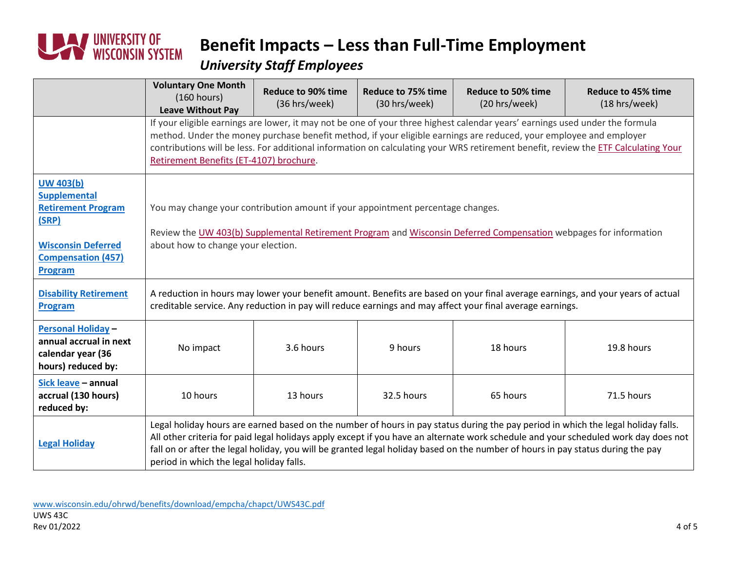

#### *University Staff Employees*

|                                                                                                                                                           | <b>Voluntary One Month</b><br>(160 hours)<br><b>Leave Without Pay</b>                                                                                                                                                                                                                                                                                                                                                                                   | <b>Reduce to 90% time</b><br>(36 hrs/week) | Reduce to 75% time<br>(30 hrs/week) | <b>Reduce to 50% time</b><br>(20 hrs/week) | <b>Reduce to 45% time</b><br>(18 hrs/week) |  |
|-----------------------------------------------------------------------------------------------------------------------------------------------------------|---------------------------------------------------------------------------------------------------------------------------------------------------------------------------------------------------------------------------------------------------------------------------------------------------------------------------------------------------------------------------------------------------------------------------------------------------------|--------------------------------------------|-------------------------------------|--------------------------------------------|--------------------------------------------|--|
|                                                                                                                                                           | If your eligible earnings are lower, it may not be one of your three highest calendar years' earnings used under the formula<br>method. Under the money purchase benefit method, if your eligible earnings are reduced, your employee and employer<br>contributions will be less. For additional information on calculating your WRS retirement benefit, review the ETF Calculating Your<br>Retirement Benefits (ET-4107) brochure.                     |                                            |                                     |                                            |                                            |  |
| <b>UW 403(b)</b><br><b>Supplemental</b><br><b>Retirement Program</b><br>(SRP)<br><b>Wisconsin Deferred</b><br><b>Compensation (457)</b><br><b>Program</b> | You may change your contribution amount if your appointment percentage changes.<br>Review the UW 403(b) Supplemental Retirement Program and Wisconsin Deferred Compensation webpages for information<br>about how to change your election.                                                                                                                                                                                                              |                                            |                                     |                                            |                                            |  |
| <b>Disability Retirement</b><br><b>Program</b>                                                                                                            | A reduction in hours may lower your benefit amount. Benefits are based on your final average earnings, and your years of actual<br>creditable service. Any reduction in pay will reduce earnings and may affect your final average earnings.                                                                                                                                                                                                            |                                            |                                     |                                            |                                            |  |
| <b>Personal Holiday -</b><br>annual accrual in next<br>calendar year (36<br>hours) reduced by:                                                            | No impact                                                                                                                                                                                                                                                                                                                                                                                                                                               | 3.6 hours                                  | 9 hours                             | 18 hours                                   | 19.8 hours                                 |  |
| Sick leave - annual<br>accrual (130 hours)<br>reduced by:                                                                                                 | 10 hours                                                                                                                                                                                                                                                                                                                                                                                                                                                | 13 hours                                   | 32.5 hours                          | 65 hours                                   | 71.5 hours                                 |  |
| <b>Legal Holiday</b>                                                                                                                                      | Legal holiday hours are earned based on the number of hours in pay status during the pay period in which the legal holiday falls.<br>All other criteria for paid legal holidays apply except if you have an alternate work schedule and your scheduled work day does not<br>fall on or after the legal holiday, you will be granted legal holiday based on the number of hours in pay status during the pay<br>period in which the legal holiday falls. |                                            |                                     |                                            |                                            |  |